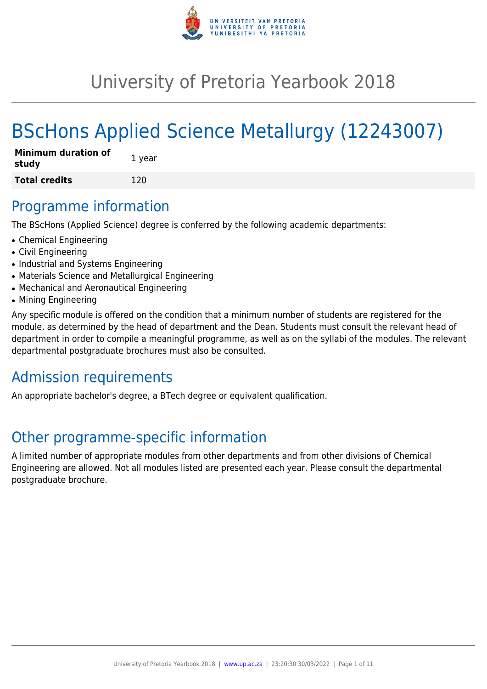

# University of Pretoria Yearbook 2018

# BScHons Applied Science Metallurgy (12243007)

| <b>Minimum duration of</b><br>study | 1 year |
|-------------------------------------|--------|
| <b>Total credits</b>                | 120    |

# Programme information

The BScHons (Applied Science) degree is conferred by the following academic departments:

- Chemical Engineering
- Civil Engineering
- Industrial and Systems Engineering
- Materials Science and Metallurgical Engineering
- Mechanical and Aeronautical Engineering
- Mining Engineering

Any specific module is offered on the condition that a minimum number of students are registered for the module, as determined by the head of department and the Dean. Students must consult the relevant head of department in order to compile a meaningful programme, as well as on the syllabi of the modules. The relevant departmental postgraduate brochures must also be consulted.

# Admission requirements

An appropriate bachelor's degree, a BTech degree or equivalent qualification.

# Other programme-specific information

A limited number of appropriate modules from other departments and from other divisions of Chemical Engineering are allowed. Not all modules listed are presented each year. Please consult the departmental postgraduate brochure.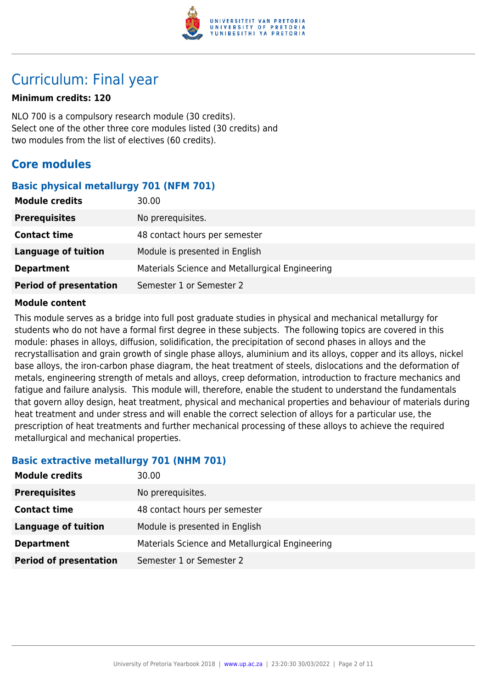

# Curriculum: Final year

#### **Minimum credits: 120**

NLO 700 is a compulsory research module (30 credits). Select one of the other three core modules listed (30 credits) and two modules from the list of electives (60 credits).

# **Core modules**

# **Basic physical metallurgy 701 (NFM 701)**

| <b>Module credits</b>         | 30.00                                           |
|-------------------------------|-------------------------------------------------|
| <b>Prerequisites</b>          | No prerequisites.                               |
| <b>Contact time</b>           | 48 contact hours per semester                   |
| <b>Language of tuition</b>    | Module is presented in English                  |
| <b>Department</b>             | Materials Science and Metallurgical Engineering |
| <b>Period of presentation</b> | Semester 1 or Semester 2                        |

#### **Module content**

This module serves as a bridge into full post graduate studies in physical and mechanical metallurgy for students who do not have a formal first degree in these subjects. The following topics are covered in this module: phases in alloys, diffusion, solidification, the precipitation of second phases in alloys and the recrystallisation and grain growth of single phase alloys, aluminium and its alloys, copper and its alloys, nickel base alloys, the iron-carbon phase diagram, the heat treatment of steels, dislocations and the deformation of metals, engineering strength of metals and alloys, creep deformation, introduction to fracture mechanics and fatigue and failure analysis. This module will, therefore, enable the student to understand the fundamentals that govern alloy design, heat treatment, physical and mechanical properties and behaviour of materials during heat treatment and under stress and will enable the correct selection of alloys for a particular use, the prescription of heat treatments and further mechanical processing of these alloys to achieve the required metallurgical and mechanical properties.

# **Basic extractive metallurgy 701 (NHM 701)**

| <b>Module credits</b>         | 30.00                                           |
|-------------------------------|-------------------------------------------------|
| <b>Prerequisites</b>          | No prerequisites.                               |
| <b>Contact time</b>           | 48 contact hours per semester                   |
| <b>Language of tuition</b>    | Module is presented in English                  |
| <b>Department</b>             | Materials Science and Metallurgical Engineering |
| <b>Period of presentation</b> | Semester 1 or Semester 2                        |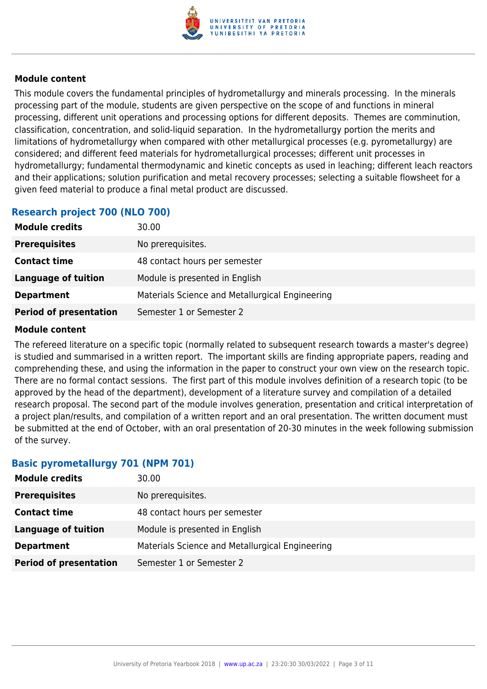

This module covers the fundamental principles of hydrometallurgy and minerals processing. In the minerals processing part of the module, students are given perspective on the scope of and functions in mineral processing, different unit operations and processing options for different deposits. Themes are comminution, classification, concentration, and solid-liquid separation. In the hydrometallurgy portion the merits and limitations of hydrometallurgy when compared with other metallurgical processes (e.g. pyrometallurgy) are considered; and different feed materials for hydrometallurgical processes; different unit processes in hydrometallurgy; fundamental thermodynamic and kinetic concepts as used in leaching; different leach reactors and their applications; solution purification and metal recovery processes; selecting a suitable flowsheet for a given feed material to produce a final metal product are discussed.

# **Research project 700 (NLO 700)**

| <b>Module credits</b>         | 30.00                                           |
|-------------------------------|-------------------------------------------------|
| <b>Prerequisites</b>          | No prerequisites.                               |
| <b>Contact time</b>           | 48 contact hours per semester                   |
| Language of tuition           | Module is presented in English                  |
| <b>Department</b>             | Materials Science and Metallurgical Engineering |
| <b>Period of presentation</b> | Semester 1 or Semester 2                        |

#### **Module content**

The refereed literature on a specific topic (normally related to subsequent research towards a master's degree) is studied and summarised in a written report. The important skills are finding appropriate papers, reading and comprehending these, and using the information in the paper to construct your own view on the research topic. There are no formal contact sessions. The first part of this module involves definition of a research topic (to be approved by the head of the department), development of a literature survey and compilation of a detailed research proposal. The second part of the module involves generation, presentation and critical interpretation of a project plan/results, and compilation of a written report and an oral presentation. The written document must be submitted at the end of October, with an oral presentation of 20-30 minutes in the week following submission of the survey.

# **Basic pyrometallurgy 701 (NPM 701)**

| <b>Module credits</b>         | 30.00                                           |
|-------------------------------|-------------------------------------------------|
| <b>Prerequisites</b>          | No prerequisites.                               |
| <b>Contact time</b>           | 48 contact hours per semester                   |
| <b>Language of tuition</b>    | Module is presented in English                  |
| <b>Department</b>             | Materials Science and Metallurgical Engineering |
| <b>Period of presentation</b> | Semester 1 or Semester 2                        |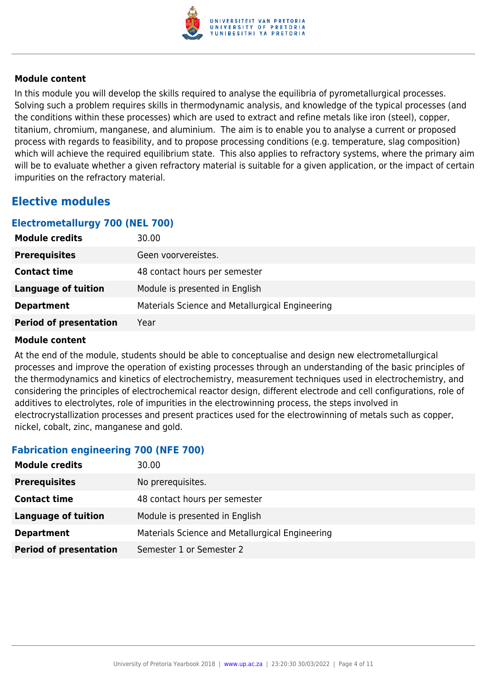

In this module you will develop the skills required to analyse the equilibria of pyrometallurgical processes. Solving such a problem requires skills in thermodynamic analysis, and knowledge of the typical processes (and the conditions within these processes) which are used to extract and refine metals like iron (steel), copper, titanium, chromium, manganese, and aluminium. The aim is to enable you to analyse a current or proposed process with regards to feasibility, and to propose processing conditions (e.g. temperature, slag composition) which will achieve the required equilibrium state. This also applies to refractory systems, where the primary aim will be to evaluate whether a given refractory material is suitable for a given application, or the impact of certain impurities on the refractory material.

# **Elective modules**

#### **Electrometallurgy 700 (NEL 700)**

| <b>Module credits</b>         | 30.00                                           |
|-------------------------------|-------------------------------------------------|
| <b>Prerequisites</b>          | Geen voorvereistes.                             |
| <b>Contact time</b>           | 48 contact hours per semester                   |
| <b>Language of tuition</b>    | Module is presented in English                  |
| <b>Department</b>             | Materials Science and Metallurgical Engineering |
| <b>Period of presentation</b> | Year                                            |

#### **Module content**

At the end of the module, students should be able to conceptualise and design new electrometallurgical processes and improve the operation of existing processes through an understanding of the basic principles of the thermodynamics and kinetics of electrochemistry, measurement techniques used in electrochemistry, and considering the principles of electrochemical reactor design, different electrode and cell configurations, role of additives to electrolytes, role of impurities in the electrowinning process, the steps involved in electrocrystallization processes and present practices used for the electrowinning of metals such as copper, nickel, cobalt, zinc, manganese and gold.

# **Fabrication engineering 700 (NFE 700)**

| <b>Module credits</b>         | 30.00                                           |
|-------------------------------|-------------------------------------------------|
| <b>Prerequisites</b>          | No prerequisites.                               |
| <b>Contact time</b>           | 48 contact hours per semester                   |
| <b>Language of tuition</b>    | Module is presented in English                  |
| <b>Department</b>             | Materials Science and Metallurgical Engineering |
| <b>Period of presentation</b> | Semester 1 or Semester 2                        |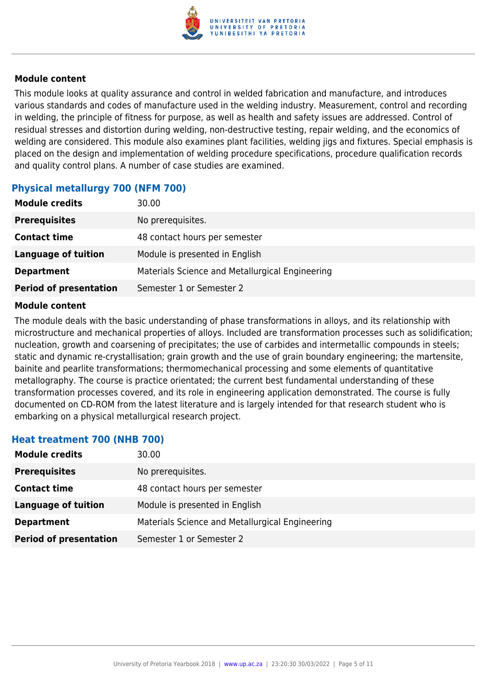

This module looks at quality assurance and control in welded fabrication and manufacture, and introduces various standards and codes of manufacture used in the welding industry. Measurement, control and recording in welding, the principle of fitness for purpose, as well as health and safety issues are addressed. Control of residual stresses and distortion during welding, non-destructive testing, repair welding, and the economics of welding are considered. This module also examines plant facilities, welding jigs and fixtures. Special emphasis is placed on the design and implementation of welding procedure specifications, procedure qualification records and quality control plans. A number of case studies are examined.

# **Physical metallurgy 700 (NFM 700)**

| <b>Module credits</b>         | 30.00                                           |
|-------------------------------|-------------------------------------------------|
| <b>Prerequisites</b>          | No prerequisites.                               |
| <b>Contact time</b>           | 48 contact hours per semester                   |
| <b>Language of tuition</b>    | Module is presented in English                  |
| <b>Department</b>             | Materials Science and Metallurgical Engineering |
| <b>Period of presentation</b> | Semester 1 or Semester 2                        |

#### **Module content**

The module deals with the basic understanding of phase transformations in alloys, and its relationship with microstructure and mechanical properties of alloys. Included are transformation processes such as solidification; nucleation, growth and coarsening of precipitates; the use of carbides and intermetallic compounds in steels; static and dynamic re-crystallisation; grain growth and the use of grain boundary engineering; the martensite, bainite and pearlite transformations; thermomechanical processing and some elements of quantitative metallography. The course is practice orientated; the current best fundamental understanding of these transformation processes covered, and its role in engineering application demonstrated. The course is fully documented on CD-ROM from the latest literature and is largely intended for that research student who is embarking on a physical metallurgical research project.

# **Heat treatment 700 (NHB 700)**

| <b>Module credits</b>         | 30.00                                           |
|-------------------------------|-------------------------------------------------|
| <b>Prerequisites</b>          | No prerequisites.                               |
| <b>Contact time</b>           | 48 contact hours per semester                   |
| Language of tuition           | Module is presented in English                  |
| <b>Department</b>             | Materials Science and Metallurgical Engineering |
| <b>Period of presentation</b> | Semester 1 or Semester 2                        |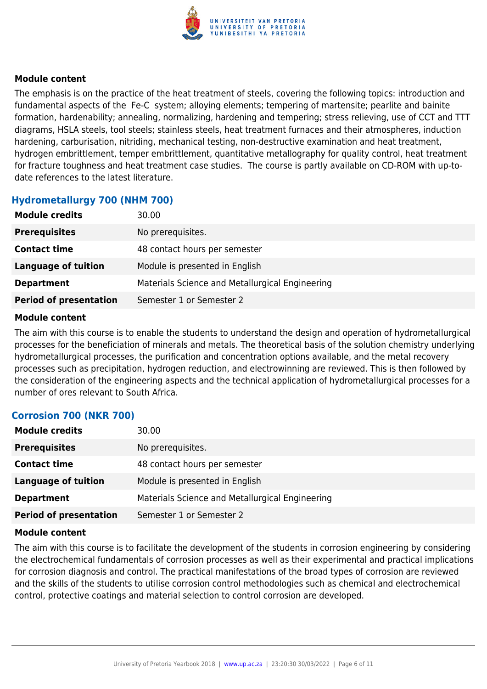

The emphasis is on the practice of the heat treatment of steels, covering the following topics: introduction and fundamental aspects of the Fe-C system; alloying elements; tempering of martensite; pearlite and bainite formation, hardenability; annealing, normalizing, hardening and tempering; stress relieving, use of CCT and TTT diagrams, HSLA steels, tool steels; stainless steels, heat treatment furnaces and their atmospheres, induction hardening, carburisation, nitriding, mechanical testing, non-destructive examination and heat treatment, hydrogen embrittlement, temper embrittlement, quantitative metallography for quality control, heat treatment for fracture toughness and heat treatment case studies. The course is partly available on CD-ROM with up-todate references to the latest literature.

#### **Hydrometallurgy 700 (NHM 700)**

| <b>Module credits</b>         | 30.00                                           |
|-------------------------------|-------------------------------------------------|
| <b>Prerequisites</b>          | No prerequisites.                               |
| <b>Contact time</b>           | 48 contact hours per semester                   |
| Language of tuition           | Module is presented in English                  |
| <b>Department</b>             | Materials Science and Metallurgical Engineering |
| <b>Period of presentation</b> | Semester 1 or Semester 2                        |

#### **Module content**

The aim with this course is to enable the students to understand the design and operation of hydrometallurgical processes for the beneficiation of minerals and metals. The theoretical basis of the solution chemistry underlying hydrometallurgical processes, the purification and concentration options available, and the metal recovery processes such as precipitation, hydrogen reduction, and electrowinning are reviewed. This is then followed by the consideration of the engineering aspects and the technical application of hydrometallurgical processes for a number of ores relevant to South Africa.

# **Corrosion 700 (NKR 700)**

| <b>Module credits</b>         | 30.00                                           |
|-------------------------------|-------------------------------------------------|
| <b>Prerequisites</b>          | No prerequisites.                               |
| <b>Contact time</b>           | 48 contact hours per semester                   |
| Language of tuition           | Module is presented in English                  |
| <b>Department</b>             | Materials Science and Metallurgical Engineering |
| <b>Period of presentation</b> | Semester 1 or Semester 2                        |

#### **Module content**

The aim with this course is to facilitate the development of the students in corrosion engineering by considering the electrochemical fundamentals of corrosion processes as well as their experimental and practical implications for corrosion diagnosis and control. The practical manifestations of the broad types of corrosion are reviewed and the skills of the students to utilise corrosion control methodologies such as chemical and electrochemical control, protective coatings and material selection to control corrosion are developed.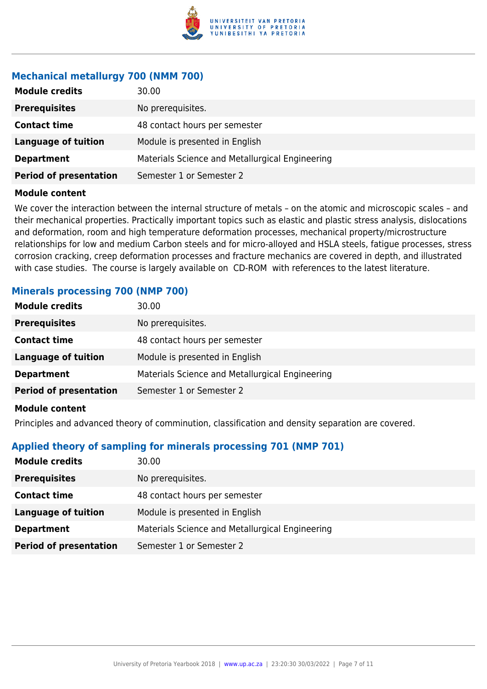

# **Mechanical metallurgy 700 (NMM 700)**

| <b>Module credits</b>         | 30.00                                           |
|-------------------------------|-------------------------------------------------|
| <b>Prerequisites</b>          | No prerequisites.                               |
| <b>Contact time</b>           | 48 contact hours per semester                   |
| <b>Language of tuition</b>    | Module is presented in English                  |
| <b>Department</b>             | Materials Science and Metallurgical Engineering |
| <b>Period of presentation</b> | Semester 1 or Semester 2                        |
|                               |                                                 |

#### **Module content**

We cover the interaction between the internal structure of metals – on the atomic and microscopic scales – and their mechanical properties. Practically important topics such as elastic and plastic stress analysis, dislocations and deformation, room and high temperature deformation processes, mechanical property/microstructure relationships for low and medium Carbon steels and for micro-alloyed and HSLA steels, fatigue processes, stress corrosion cracking, creep deformation processes and fracture mechanics are covered in depth, and illustrated with case studies. The course is largely available on CD-ROM with references to the latest literature.

### **Minerals processing 700 (NMP 700)**

| <b>Module credits</b>         | 30.00                                           |
|-------------------------------|-------------------------------------------------|
| <b>Prerequisites</b>          | No prerequisites.                               |
| <b>Contact time</b>           | 48 contact hours per semester                   |
| <b>Language of tuition</b>    | Module is presented in English                  |
| <b>Department</b>             | Materials Science and Metallurgical Engineering |
| <b>Period of presentation</b> | Semester 1 or Semester 2                        |
| <b>Module content</b>         |                                                 |

#### Principles and advanced theory of comminution, classification and density separation are covered.

#### **Applied theory of sampling for minerals processing 701 (NMP 701)**

| <b>Module credits</b>         | 30.00                                           |
|-------------------------------|-------------------------------------------------|
| <b>Prerequisites</b>          | No prerequisites.                               |
| <b>Contact time</b>           | 48 contact hours per semester                   |
| Language of tuition           | Module is presented in English                  |
| <b>Department</b>             | Materials Science and Metallurgical Engineering |
| <b>Period of presentation</b> | Semester 1 or Semester 2                        |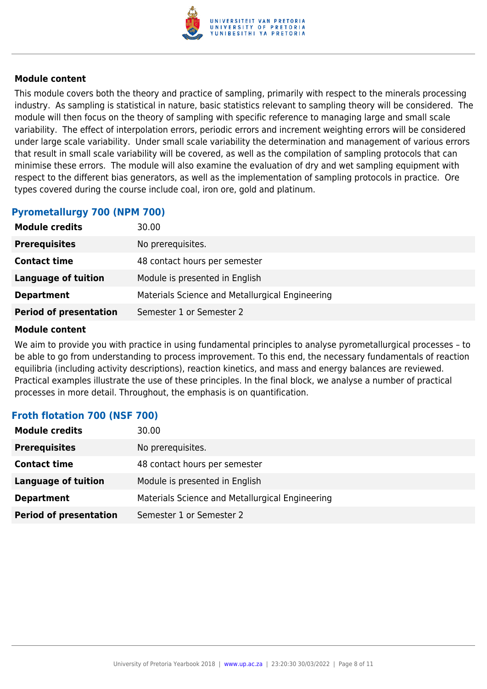

This module covers both the theory and practice of sampling, primarily with respect to the minerals processing industry. As sampling is statistical in nature, basic statistics relevant to sampling theory will be considered. The module will then focus on the theory of sampling with specific reference to managing large and small scale variability. The effect of interpolation errors, periodic errors and increment weighting errors will be considered under large scale variability. Under small scale variability the determination and management of various errors that result in small scale variability will be covered, as well as the compilation of sampling protocols that can minimise these errors. The module will also examine the evaluation of dry and wet sampling equipment with respect to the different bias generators, as well as the implementation of sampling protocols in practice. Ore types covered during the course include coal, iron ore, gold and platinum.

# **Pyrometallurgy 700 (NPM 700)**

| <b>Module credits</b>         | 30.00                                           |
|-------------------------------|-------------------------------------------------|
| <b>Prerequisites</b>          | No prerequisites.                               |
| <b>Contact time</b>           | 48 contact hours per semester                   |
| <b>Language of tuition</b>    | Module is presented in English                  |
| <b>Department</b>             | Materials Science and Metallurgical Engineering |
| <b>Period of presentation</b> | Semester 1 or Semester 2                        |

#### **Module content**

We aim to provide you with practice in using fundamental principles to analyse pyrometallurgical processes – to be able to go from understanding to process improvement. To this end, the necessary fundamentals of reaction equilibria (including activity descriptions), reaction kinetics, and mass and energy balances are reviewed. Practical examples illustrate the use of these principles. In the final block, we analyse a number of practical processes in more detail. Throughout, the emphasis is on quantification.

# **Froth flotation 700 (NSF 700)**

| <b>Module credits</b>         | 30.00                                           |
|-------------------------------|-------------------------------------------------|
| <b>Prerequisites</b>          | No prerequisites.                               |
| <b>Contact time</b>           | 48 contact hours per semester                   |
| Language of tuition           | Module is presented in English                  |
| <b>Department</b>             | Materials Science and Metallurgical Engineering |
| <b>Period of presentation</b> | Semester 1 or Semester 2                        |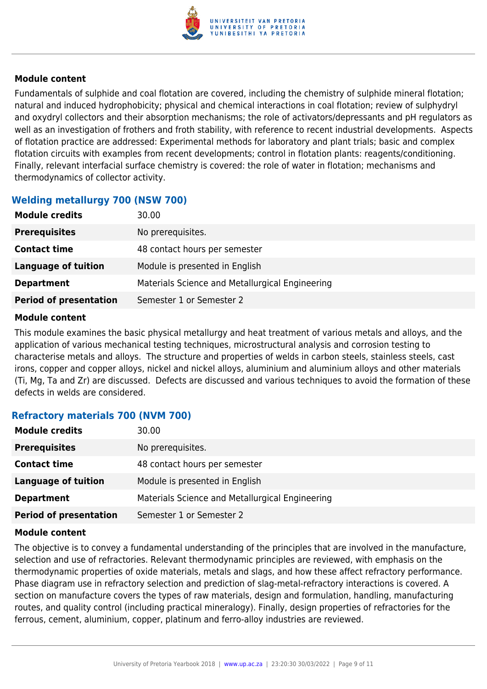

Fundamentals of sulphide and coal flotation are covered, including the chemistry of sulphide mineral flotation; natural and induced hydrophobicity; physical and chemical interactions in coal flotation; review of sulphydryl and oxydryl collectors and their absorption mechanisms; the role of activators/depressants and pH regulators as well as an investigation of frothers and froth stability, with reference to recent industrial developments. Aspects of flotation practice are addressed: Experimental methods for laboratory and plant trials; basic and complex flotation circuits with examples from recent developments; control in flotation plants: reagents/conditioning. Finally, relevant interfacial surface chemistry is covered: the role of water in flotation; mechanisms and thermodynamics of collector activity.

# **Welding metallurgy 700 (NSW 700)**

| <b>Module credits</b>         | 30.00                                           |
|-------------------------------|-------------------------------------------------|
| <b>Prerequisites</b>          | No prerequisites.                               |
| <b>Contact time</b>           | 48 contact hours per semester                   |
| Language of tuition           | Module is presented in English                  |
| <b>Department</b>             | Materials Science and Metallurgical Engineering |
| <b>Period of presentation</b> | Semester 1 or Semester 2                        |

#### **Module content**

This module examines the basic physical metallurgy and heat treatment of various metals and alloys, and the application of various mechanical testing techniques, microstructural analysis and corrosion testing to characterise metals and alloys. The structure and properties of welds in carbon steels, stainless steels, cast irons, copper and copper alloys, nickel and nickel alloys, aluminium and aluminium alloys and other materials (Ti, Mg, Ta and Zr) are discussed. Defects are discussed and various techniques to avoid the formation of these defects in welds are considered.

# **Refractory materials 700 (NVM 700)**

| <b>Module credits</b>         | 30.00                                           |
|-------------------------------|-------------------------------------------------|
| <b>Prerequisites</b>          | No prerequisites.                               |
| <b>Contact time</b>           | 48 contact hours per semester                   |
| Language of tuition           | Module is presented in English                  |
| <b>Department</b>             | Materials Science and Metallurgical Engineering |
| <b>Period of presentation</b> | Semester 1 or Semester 2                        |

#### **Module content**

The objective is to convey a fundamental understanding of the principles that are involved in the manufacture, selection and use of refractories. Relevant thermodynamic principles are reviewed, with emphasis on the thermodynamic properties of oxide materials, metals and slags, and how these affect refractory performance. Phase diagram use in refractory selection and prediction of slag-metal-refractory interactions is covered. A section on manufacture covers the types of raw materials, design and formulation, handling, manufacturing routes, and quality control (including practical mineralogy). Finally, design properties of refractories for the ferrous, cement, aluminium, copper, platinum and ferro-alloy industries are reviewed.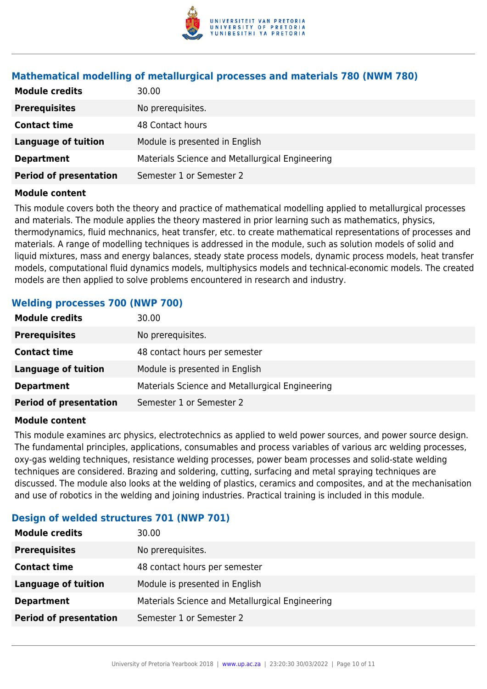

# **Mathematical modelling of metallurgical processes and materials 780 (NWM 780)**

| <b>Module credits</b>         | 30.00                                           |
|-------------------------------|-------------------------------------------------|
| <b>Prerequisites</b>          | No prerequisites.                               |
| <b>Contact time</b>           | 48 Contact hours                                |
| Language of tuition           | Module is presented in English                  |
| <b>Department</b>             | Materials Science and Metallurgical Engineering |
| <b>Period of presentation</b> | Semester 1 or Semester 2                        |

#### **Module content**

This module covers both the theory and practice of mathematical modelling applied to metallurgical processes and materials. The module applies the theory mastered in prior learning such as mathematics, physics, thermodynamics, fluid mechnanics, heat transfer, etc. to create mathematical representations of processes and materials. A range of modelling techniques is addressed in the module, such as solution models of solid and liquid mixtures, mass and energy balances, steady state process models, dynamic process models, heat transfer models, computational fluid dynamics models, multiphysics models and technical-economic models. The created models are then applied to solve problems encountered in research and industry.

# **Welding processes 700 (NWP 700)**

| <b>Module credits</b>         | 30.00                                           |
|-------------------------------|-------------------------------------------------|
| <b>Prerequisites</b>          | No prerequisites.                               |
| <b>Contact time</b>           | 48 contact hours per semester                   |
| <b>Language of tuition</b>    | Module is presented in English                  |
| <b>Department</b>             | Materials Science and Metallurgical Engineering |
| <b>Period of presentation</b> | Semester 1 or Semester 2                        |

#### **Module content**

This module examines arc physics, electrotechnics as applied to weld power sources, and power source design. The fundamental principles, applications, consumables and process variables of various arc welding processes, oxy-gas welding techniques, resistance welding processes, power beam processes and solid-state welding techniques are considered. Brazing and soldering, cutting, surfacing and metal spraying techniques are discussed. The module also looks at the welding of plastics, ceramics and composites, and at the mechanisation and use of robotics in the welding and joining industries. Practical training is included in this module.

# **Design of welded structures 701 (NWP 701)**

| <b>Module credits</b>         | 30.00                                           |
|-------------------------------|-------------------------------------------------|
| <b>Prerequisites</b>          | No prerequisites.                               |
| <b>Contact time</b>           | 48 contact hours per semester                   |
| <b>Language of tuition</b>    | Module is presented in English                  |
| <b>Department</b>             | Materials Science and Metallurgical Engineering |
| <b>Period of presentation</b> | Semester 1 or Semester 2                        |